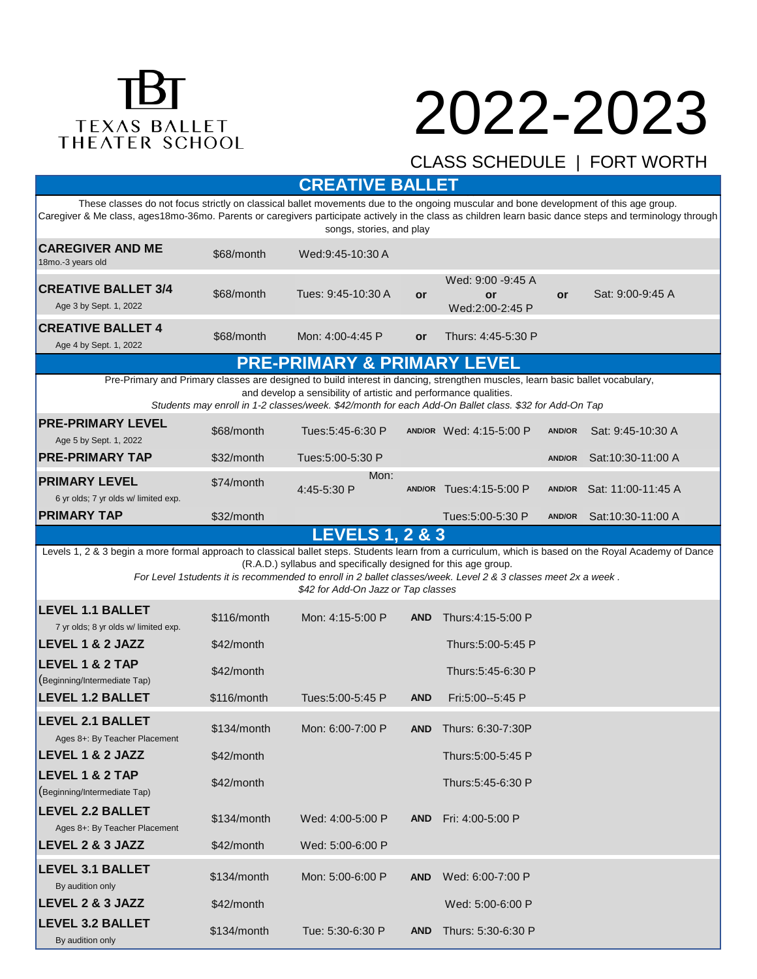# TEXAS BALLET<br>THEATER SCHOOL

### 2022-2023

#### CLASS SCHEDULE | FORT WORTH

Creative Ballet 3/4, 4 students are introduced to movement and music in a creative approach to learn the fundamentals of dance. **CREATIVE BALLET**

|                                                                                                                                                                                                                                                                                                                                                                                   |               | VIILAIIVE PALLEI           |            |                                            |               |                    |  |  |
|-----------------------------------------------------------------------------------------------------------------------------------------------------------------------------------------------------------------------------------------------------------------------------------------------------------------------------------------------------------------------------------|---------------|----------------------------|------------|--------------------------------------------|---------------|--------------------|--|--|
| These classes do not focus strictly on classical ballet movements due to the ongoing muscular and bone development of this age group.<br>Caregiver & Me class, ages18mo-36mo. Parents or caregivers participate actively in the class as children learn basic dance steps and terminology through<br>songs, stories, and play                                                     |               |                            |            |                                            |               |                    |  |  |
| <b>CAREGIVER AND ME</b><br>18mo.-3 years old                                                                                                                                                                                                                                                                                                                                      | \$68/month    | Wed:9:45-10:30 A           |            |                                            |               |                    |  |  |
| <b>CREATIVE BALLET 3/4</b><br>Age 3 by Sept. 1, 2022                                                                                                                                                                                                                                                                                                                              | \$68/month    | Tues: 9:45-10:30 A         | or         | Wed: 9:00 -9:45 A<br>or<br>Wed:2:00-2:45 P | or            | Sat: 9:00-9:45 A   |  |  |
| <b>CREATIVE BALLET 4</b><br>Age 4 by Sept. 1, 2022                                                                                                                                                                                                                                                                                                                                | \$68/month    | Mon: 4:00-4:45 P           | <b>or</b>  | Thurs: 4:45-5:30 P                         |               |                    |  |  |
| <b>PRE-PRIMARY &amp; PRIMARY LEVEL</b>                                                                                                                                                                                                                                                                                                                                            |               |                            |            |                                            |               |                    |  |  |
| Pre-Primary and Primary classes are designed to build interest in dancing, strengthen muscles, learn basic ballet vocabulary,<br>and develop a sensibility of artistic and performance qualities.<br>Students may enroll in 1-2 classes/week. \$42/month for each Add-On Ballet class. \$32 for Add-On Tap                                                                        |               |                            |            |                                            |               |                    |  |  |
| <b>PRE-PRIMARY LEVEL</b><br>Age 5 by Sept. 1, 2022                                                                                                                                                                                                                                                                                                                                | \$68/month    | Tues: 5: 45 - 6: 30 P      |            | AND/OR Wed: 4:15-5:00 P                    | <b>AND/OR</b> | Sat: 9:45-10:30 A  |  |  |
| <b>PRE-PRIMARY TAP</b>                                                                                                                                                                                                                                                                                                                                                            | \$32/month    | Tues:5:00-5:30 P           |            |                                            | <b>AND/OR</b> | Sat:10:30-11:00 A  |  |  |
| <b>PRIMARY LEVEL</b><br>6 yr olds; 7 yr olds w/ limited exp.                                                                                                                                                                                                                                                                                                                      | \$74/month    | Mon:<br>4:45-5:30 P        |            | AND/OR Tues: 4:15-5:00 P                   | AND/OR        | Sat: 11:00-11:45 A |  |  |
| <b>PRIMARY TAP</b>                                                                                                                                                                                                                                                                                                                                                                | \$32/month    |                            |            | Tues:5:00-5:30 P                           | <b>AND/OR</b> | Sat: 10:30-11:00 A |  |  |
|                                                                                                                                                                                                                                                                                                                                                                                   |               | <b>LEVELS 1, 2 &amp; 3</b> |            |                                            |               |                    |  |  |
| Levels 1, 2 & 3 begin a more formal approach to classical ballet steps. Students learn from a curriculum, which is based on the Royal Academy of Dance<br>(R.A.D.) syllabus and specifically designed for this age group.<br>For Level 1students it is recommended to enroll in 2 ballet classes/week. Level 2 & 3 classes meet 2x a week.<br>\$42 for Add-On Jazz or Tap classes |               |                            |            |                                            |               |                    |  |  |
| <b>LEVEL 1.1 BALLET</b><br>7 yr olds; 8 yr olds w/ limited exp.                                                                                                                                                                                                                                                                                                                   | \$116/month   | Mon: 4:15-5:00 P           | <b>AND</b> | Thurs: 4:15-5:00 P                         |               |                    |  |  |
| LEVEL 1 & 2 JAZZ                                                                                                                                                                                                                                                                                                                                                                  | \$42/month    |                            |            | Thurs:5:00-5:45 P                          |               |                    |  |  |
| <b>LEVEL 1 &amp; 2 TAP</b><br>(Beginning/Intermediate Tap)                                                                                                                                                                                                                                                                                                                        | \$42/month    |                            |            | Thurs:5:45-6:30 P                          |               |                    |  |  |
| <b>LEVEL 1.2 BALLET</b>                                                                                                                                                                                                                                                                                                                                                           | \$116/month   | Tues:5:00-5:45 P           | <b>AND</b> | Fri:5:00--5:45 P                           |               |                    |  |  |
| <b>LEVEL 2.1 BALLET</b><br>Ages 8+: By Teacher Placement                                                                                                                                                                                                                                                                                                                          | \$134/month   | Mon: 6:00-7:00 P           | <b>AND</b> | Thurs: 6:30-7:30P                          |               |                    |  |  |
| LEVEL 1 & 2 JAZZ                                                                                                                                                                                                                                                                                                                                                                  | \$42/month    |                            |            | Thurs: 5:00-5:45 P                         |               |                    |  |  |
| <b>LEVEL 1 &amp; 2 TAP</b><br>(Beginning/Intermediate Tap)                                                                                                                                                                                                                                                                                                                        | \$42/month    |                            |            | Thurs:5:45-6:30 P                          |               |                    |  |  |
| <b>LEVEL 2.2 BALLET</b><br>Ages 8+: By Teacher Placement                                                                                                                                                                                                                                                                                                                          | \$134/month   | Wed: 4:00-5:00 P           | <b>AND</b> | Fri: 4:00-5:00 P                           |               |                    |  |  |
| LEVEL 2 & 3 JAZZ                                                                                                                                                                                                                                                                                                                                                                  | \$42/month    | Wed: 5:00-6:00 P           |            |                                            |               |                    |  |  |
| <b>LEVEL 3.1 BALLET</b><br>By audition only                                                                                                                                                                                                                                                                                                                                       | \$134/month   | Mon: 5:00-6:00 P           | <b>AND</b> | Wed: 6:00-7:00 P                           |               |                    |  |  |
| LEVEL 2 & 3 JAZZ                                                                                                                                                                                                                                                                                                                                                                  | \$42/month    |                            |            | Wed: 5:00-6:00 P                           |               |                    |  |  |
| <b>LEVEL 3.2 BALLET</b><br>By audition only                                                                                                                                                                                                                                                                                                                                       | $$134/m$ onth | Tue: 5:30-6:30 P           | <b>AND</b> | Thurs: 5:30-6:30 P                         |               |                    |  |  |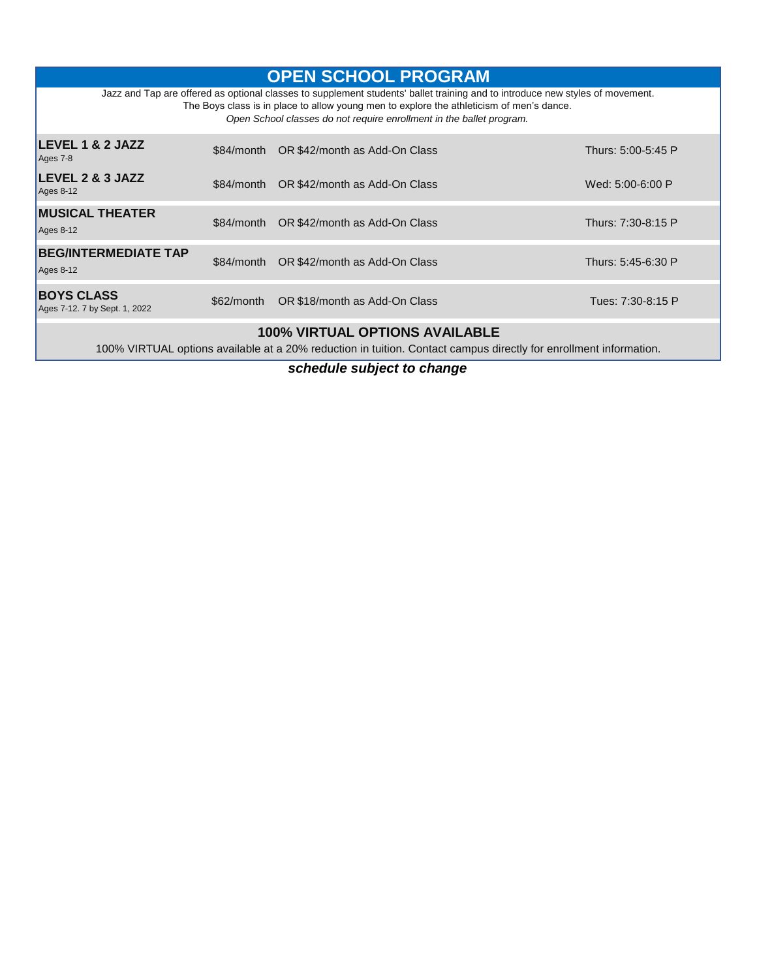| <b>OPEN SCHOOL PROGRAM</b>                                                                                                                                                                                                                                                                        |            |                                          |                    |  |  |  |  |
|---------------------------------------------------------------------------------------------------------------------------------------------------------------------------------------------------------------------------------------------------------------------------------------------------|------------|------------------------------------------|--------------------|--|--|--|--|
| Jazz and Tap are offered as optional classes to supplement students' ballet training and to introduce new styles of movement.<br>The Boys class is in place to allow young men to explore the athleticism of men's dance.<br>Open School classes do not require enrollment in the ballet program. |            |                                          |                    |  |  |  |  |
| LEVEL 1 & 2 JAZZ<br>Ages 7-8                                                                                                                                                                                                                                                                      |            | \$84/month OR \$42/month as Add-On Class | Thurs: 5:00-5:45 P |  |  |  |  |
| LEVEL 2 & 3 JAZZ<br>$Ages 8-12$                                                                                                                                                                                                                                                                   | \$84/month | OR \$42/month as Add-On Class            | Wed: 5:00-6:00 P   |  |  |  |  |
| <b>MUSICAL THEATER</b><br>$Ages 8-12$                                                                                                                                                                                                                                                             | \$84/month | OR \$42/month as Add-On Class            | Thurs: 7:30-8:15 P |  |  |  |  |
| <b>BEG/INTERMEDIATE TAP</b><br>$Ages 8-12$                                                                                                                                                                                                                                                        | \$84/month | OR \$42/month as Add-On Class            | Thurs: 5:45-6:30 P |  |  |  |  |
| <b>BOYS CLASS</b><br>Ages 7-12. 7 by Sept. 1, 2022                                                                                                                                                                                                                                                | \$62/month | OR \$18/month as Add-On Class            | Tues: 7:30-8:15 P  |  |  |  |  |
| <b>100% VIRTUAL OPTIONS AVAILABLE</b><br>100% VIRTUAL options available at a 20% reduction in tuition. Contact campus directly for enrollment information.                                                                                                                                        |            |                                          |                    |  |  |  |  |

*schedule subject to change*